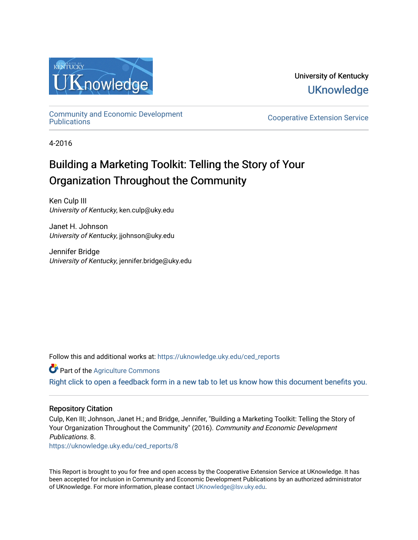

University of Kentucky **UKnowledge** 

[Community and Economic Development](https://uknowledge.uky.edu/ced_reports) 

**Cooperative Extension Service** 

4-2016

# Building a Marketing Toolkit: Telling the Story of Your Organization Throughout the Community

Ken Culp III University of Kentucky, ken.culp@uky.edu

Janet H. Johnson University of Kentucky, jjohnson@uky.edu

Jennifer Bridge University of Kentucky, jennifer.bridge@uky.edu

Follow this and additional works at: [https://uknowledge.uky.edu/ced\\_reports](https://uknowledge.uky.edu/ced_reports?utm_source=uknowledge.uky.edu%2Fced_reports%2F8&utm_medium=PDF&utm_campaign=PDFCoverPages)

Part of the [Agriculture Commons](http://network.bepress.com/hgg/discipline/1076?utm_source=uknowledge.uky.edu%2Fced_reports%2F8&utm_medium=PDF&utm_campaign=PDFCoverPages)

[Right click to open a feedback form in a new tab to let us know how this document benefits you.](https://uky.az1.qualtrics.com/jfe/form/SV_9mq8fx2GnONRfz7)

#### Repository Citation

Culp, Ken III; Johnson, Janet H.; and Bridge, Jennifer, "Building a Marketing Toolkit: Telling the Story of Your Organization Throughout the Community" (2016). Community and Economic Development Publications. 8.

[https://uknowledge.uky.edu/ced\\_reports/8](https://uknowledge.uky.edu/ced_reports/8?utm_source=uknowledge.uky.edu%2Fced_reports%2F8&utm_medium=PDF&utm_campaign=PDFCoverPages) 

This Report is brought to you for free and open access by the Cooperative Extension Service at UKnowledge. It has been accepted for inclusion in Community and Economic Development Publications by an authorized administrator of UKnowledge. For more information, please contact [UKnowledge@lsv.uky.edu.](mailto:UKnowledge@lsv.uky.edu)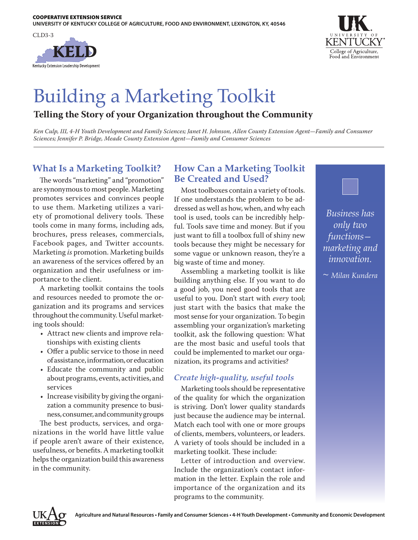



# Building a Marketing Toolkit

# **Telling the Story of your Organization throughout the Community**

*Ken Culp, III, 4-H Youth Development and Family Sciences; Janet H. Johnson, Allen County Extension Agent—Family and Consumer Sciences; Jennifer P. Bridge, Meade County Extension Agent—Family and Consumer Sciences*

# **What Is a Marketing Toolkit?**

The words "marketing" and "promotion" are synonymous to most people. Marketing promotes services and convinces people to use them. Marketing utilizes a variety of promotional delivery tools. These tools come in many forms, including ads, brochures, press releases, commercials, Facebook pages, and Twitter accounts. Marketing *is* promotion. Marketing builds an awareness of the services offered by an organization and their usefulness or importance to the client.

A marketing toolkit contains the tools and resources needed to promote the organization and its programs and services throughout the community. Useful marketing tools should:

- Attract new clients and improve relationships with existing clients
- Offer a public service to those in need of assistance, information, or education
- Educate the community and public about programs, events, activities, and services
- Increase visibility by giving the organization a community presence to business, consumer, and community groups

The best products, services, and organizations in the world have little value if people aren't aware of their existence, usefulness, or benefits. A marketing toolkit helps the organization build this awareness in the community.

# **How Can a Marketing Toolkit Be Created and Used?**

Most toolboxes contain a variety of tools. If one understands the problem to be addressed as well as how, when, and why each tool is used, tools can be incredibly helpful. Tools save time and money. But if you just want to fill a toolbox full of shiny new tools because they might be necessary for some vague or unknown reason, they're a big waste of time and money.

Assembling a marketing toolkit is like building anything else. If you want to do a good job, you need good tools that are useful to you. Don't start with *every* tool; just start with the basics that make the most sense for your organization. To begin assembling your organization's marketing toolkit, ask the following question: What are the most basic and useful tools that could be implemented to market our organization, its programs and activities?

#### *Create high-quality, useful tools*

Marketing tools should be representative of the quality for which the organization is striving. Don't lower quality standards just because the audience may be internal. Match each tool with one or more groups of clients, members, volunteers, or leaders. A variety of tools should be included in a marketing toolkit. These include:

Letter of introduction and overview. Include the organization's contact information in the letter. Explain the role and importance of the organization and its programs to the community.



*Business has only two functions marketing and innovation.*

*~ Milan Kundera*

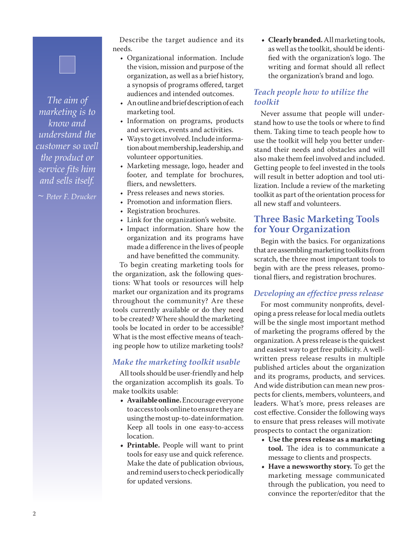*The aim of marketing is to know and understand the customer so well the product or service fits him and sells itself.* 

*~ Peter F. Drucker*

Describe the target audience and its needs.

- Organizational information. Include the vision, mission and purpose of the organization, as well as a brief history, a synopsis of programs offered, target audiences and intended outcomes.
- An outline and brief description of each marketing tool.
- Information on programs, products and services, events and activities.
- Ways to get involved. Include information about membership, leadership, and volunteer opportunities.
- Marketing message, logo, header and footer, and template for brochures, fliers, and newsletters.
- Press releases and news stories.
- Promotion and information fliers.
- Registration brochures.
- Link for the organization's website.
- Impact information. Share how the organization and its programs have made a difference in the lives of people and have benefitted the community.

To begin creating marketing tools for the organization, ask the following questions: What tools or resources will help market our organization and its programs throughout the community? Are these tools currently available or do they need to be created? Where should the marketing tools be located in order to be accessible? What is the most effective means of teaching people how to utilize marketing tools?

#### *Make the marketing toolkit usable*

All tools should be user-friendly and help the organization accomplish its goals. To make toolkits usable:

- **• Available online.** Encourage everyone to access tools online to ensure they are using the most up-to-date information. Keep all tools in one easy-to-access location.
- **• Printable.** People will want to print tools for easy use and quick reference. Make the date of publication obvious, and remind users to check periodically for updated versions.

**• Clearly branded.** All marketing tools, as well as the toolkit, should be identified with the organization's logo. The writing and format should all reflect the organization's brand and logo.

#### *Teach people how to utilize the toolkit*

Never assume that people will understand how to use the tools or where to find them. Taking time to teach people how to use the toolkit will help you better understand their needs and obstacles and will also make them feel involved and included. Getting people to feel invested in the tools will result in better adoption and tool utilization. Include a review of the marketing toolkit as part of the orientation process for all new staff and volunteers.

## **Three Basic Marketing Tools for Your Organization**

Begin with the basics. For organizations that are assembling marketing toolkits from scratch, the three most important tools to begin with are the press releases, promotional fliers, and registration brochures.

#### *Developing an effective press release*

For most community nonprofits, developing a press release for local media outlets will be the single most important method of marketing the programs offered by the organization. A press release is the quickest and easiest way to get free publicity. A wellwritten press release results in multiple published articles about the organization and its programs, products, and services. And wide distribution can mean new prospects for clients, members, volunteers, and leaders. What's more, press releases are cost effective. Consider the following ways to ensure that press releases will motivate prospects to contact the organization:

- **• Use the press release as a marketing tool.** The idea is to communicate a message to clients and prospects.
- **• Have a newsworthy story.** To get the marketing message communicated through the publication, you need to convince the reporter/editor that the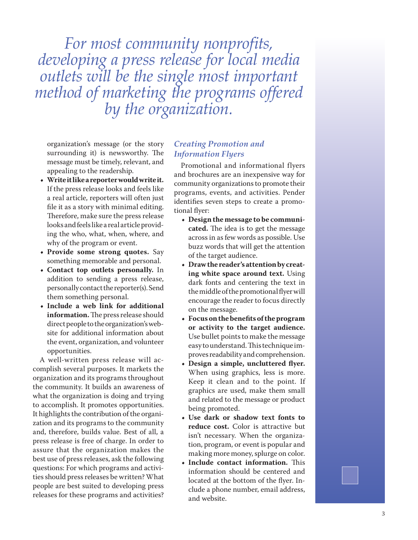*For most community nonprofits, developing a press release for local media outlets will be the single most important method of marketing the programs offered by the organization.* 

organization's message (or the story surrounding it) is newsworthy. The message must be timely, relevant, and appealing to the readership.

- **• Write it like a reporter would write it.** If the press release looks and feels like a real article, reporters will often just file it as a story with minimal editing. Therefore, make sure the press release looks and feels like a real article provid ing the who, what, when, where, and why of the program or event.
- **• Provide some strong quotes.** Say something memorable and personal.
- **• Contact top outlets personally.** In addition to sending a press release, personally contact the reporter(s). Send them something personal.
- **• Include a web link for additional information.** The press release should direct people to the organization's web site for additional information about the event, organization, and volunteer opportunities.

A well-written press release will ac complish several purposes. It markets the organization and its programs throughout the community. It builds an awareness of what the organization is doing and trying to accomplish. It promotes opportunities. It highlights the contribution of the organi zation and its programs to the community and, therefore, builds value. Best of all, a press release is free of charge. In order to assure that the organization makes the best use of press releases, ask the following questions: For which programs and activi ties should press releases be written? What people are best suited to developing press releases for these programs and activities?

#### *Creating Promotion and Information Flyers*

Promotional and informational flyers and brochures are an inexpensive way for community organizations to promote their programs, events, and activities. Pender identifies seven steps to create a promo tional flyer:

- **• Design the message to be communi cated.** The idea is to get the message across in as few words as possible. Use buzz words that will get the attention of the target audience.
- **• Draw the reader's attention by creat ing white space around text.** Using dark fonts and centering the text in the middle of the promotional flyer will encourage the reader to focus directly on the message.
- **• Focus on the benefits of the program or activity to the target audience.** Use bullet points to make the message easy to understand. This technique im proves readability and comprehension.
- **• Design a simple, uncluttered flyer.** When using graphics, less is more. Keep it clean and to the point. If graphics are used, make them small and related to the message or product being promoted.
- **• Use dark or shadow text fonts to reduce cost.** Color is attractive but isn't necessary. When the organiza tion, program, or event is popular and making more money, splurge on color.
- **• Include contact information.** This information should be centered and located at the bottom of the flyer. In clude a phone number, email address, and website.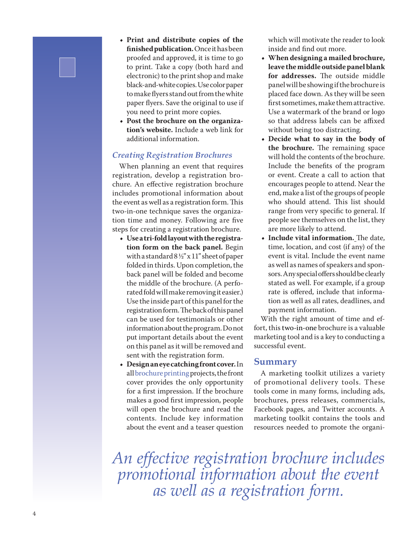- **• Print and distribute copies of the finished publication.** Once it has been proofed and approved, it is time to go to print. Take a copy (both hard and electronic) to the print shop and make black-and-white copies. Use color paper to make flyers stand out from the white paper flyers. Save the original to use if you need to print more copies.
- **• Post the brochure on the organization's website.** Include a web link for additional information.

#### *Creating Registration Brochures*

When planning an event that requires registration, develop a registration brochure. An effective registration brochure includes promotional information about the event as well as a registration form. This two-in-one technique saves the organization time and money. Following are five steps for creating a registration brochure.

- **• Use a tri-fold layout with the registration form on the back panel.** Begin with a standard 8 ½" x 11" sheet of paper folded in thirds. Upon completion, the back panel will be folded and become the middle of the brochure. (A perforated fold will make removing it easier.) Use the inside part of this panel for the registration form. The back of this panel can be used for testimonials or other information about the program. Do not put important details about the event on this panel as it will be removed and sent with the registration form.
- **• Design an eye catching front cover.**In all [brochure printing](http://www.printplace.com/printproducts/registration-brochure.aspx) projects, the front cover provides the only opportunity for a first impression. If the brochure makes a good first impression, people will open the brochure and read the contents. Include key information about the event and a teaser question

which will motivate the reader to look inside and find out more.

- **• When designing a mailed brochure, leave the middle outside panel blank for addresses.** The outside middle panel will be showing if the brochure is placed face down. As they will be seen first sometimes, make them attractive. Use a watermark of the brand or logo so that address labels can be affixed without being too distracting.
- **• Decide what to say in the body of the brochure.** The remaining space will hold the contents of the brochure. Include the benefits of the program or event. Create a call to action that encourages people to attend. Near the end, make a list of the groups of people who should attend. This list should range from very specific to general. If people see themselves on the list, they are more likely to attend.
- **• Include vital information.** The date, time, location, and cost (if any) of the event is vital. Include the event name as well as names of speakers and sponsors. Any special offers should be clearly stated as well. For example, if a group rate is offered, include that information as well as all rates, deadlines, and payment information.

With the right amount of time and effort, this two-in-one brochure is a valuable marketing tool and is a key to conducting a successful event.

#### **Summary**

A marketing toolkit utilizes a variety of promotional delivery tools. These tools come in many forms, including ads, brochures, press releases, commercials, Facebook pages, and Twitter accounts. A marketing toolkit contains the tools and resources needed to promote the organi-

*An effective registration brochure includes promotional information about the event as well as a registration form.*